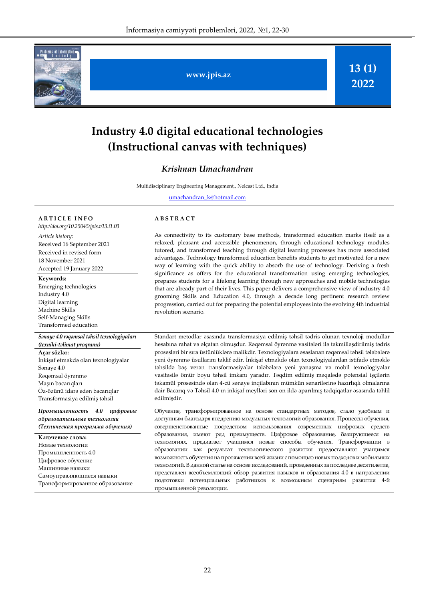

**www.jpis.az**

**13 (1) 2022**

# **Industry 4.0 digital educational technologies (Instructional canvas with techniques)**

# *Krishnan Umachandran*

Multidisciplinary Engineering Management,, Nelcast Ltd., India

[umachandran\\_k@hotmail.com](mailto:umachandran_k@hotmail.com)

| <b>ARTICLE INFO</b>                                                                                                                                                                                                    | <b>ABSTRACT</b>                                                                                                                                                                                                                                                   |
|------------------------------------------------------------------------------------------------------------------------------------------------------------------------------------------------------------------------|-------------------------------------------------------------------------------------------------------------------------------------------------------------------------------------------------------------------------------------------------------------------|
| http://doi.org/10.25045/jpis.v13.i1.03                                                                                                                                                                                 |                                                                                                                                                                                                                                                                   |
| Article history:<br>Received 16 September 2021<br>Received in revised form<br>18 November 2021<br>Accepted 19 January 2022<br>Keywords:<br>Emerging technologies<br>Industry 4.0<br>Digital learning<br>Machine Skills | As connectivity to i<br>relaxed, pleasant ar<br>tutored, and transfo<br>advantages. Technol<br>way of learning wit<br>significance as offe<br>prepares students fo<br>that are already part<br>grooming Skills an<br>progression, carried<br>revolution scenario. |
| Self-Managing Skills<br>Transformed education                                                                                                                                                                          |                                                                                                                                                                                                                                                                   |
|                                                                                                                                                                                                                        |                                                                                                                                                                                                                                                                   |
| Sənaye 4.0 rəqəmsal təhsil texnologiyaları<br>(texniki-təlimat proqramı)                                                                                                                                               | Standart metodlar a<br>hesabına rahat və əl                                                                                                                                                                                                                       |
| Açar sözlər:<br>İnkişaf etməkdə olan texnologiyalar<br>Sanaye 4.0<br>Rəqəmsal öyrənmə<br>Maşın bacarıqları<br>Öz-özünü idarə edən bacarıqlar<br>Transformasiya edilmiş təhsil                                          | prosesləri bir sıra üs<br>yeni öyrənmə üsulla<br>təhsildə baş verən<br>vasitəsilə ömür boy<br>təkamül prosesində<br>dair Bacarıq və Təhs<br>edilmişdir.                                                                                                           |
| 4.0<br>цифровые<br>Промышленность<br>образовательные технологии<br>(Техническая программа обучения)                                                                                                                    | Обучение, трансфо<br>доступным благодар<br>совершенствованные                                                                                                                                                                                                     |
| Ключевые слова:<br>Новые технологии<br>Промышленность 4.0<br>Цифровое обучение<br>Машинные навыки<br>Самоуправляющиеся навыки<br>Трансформированное образование                                                        | образования,<br>имек<br>технологиях,<br>пред.<br>образовании<br>как<br>возможность обучен<br>технологий. В данно<br>представлен всеобъе<br>ПОДГОТОВКИ<br>потені<br>промышленной рев                                                                               |

its customary base methods, transformed education marks itself as a nd accessible phenomenon, through educational technology modules rmed teaching through digital learning processes has more associated logy transformed education benefits students to get motivated for a new th the quick ability to absorb the use of technology. Deriving a fresh ers for the educational transformation using emerging technologies, or a lifelong learning through new approaches and mobile technologies of their lives. This paper delivers a comprehensive view of industry 4.0 d Education 4.0, through a decade long pertinent research review out for preparing the potential employees into the evolving 4th industrial

əsasında transformasiya edilmiş təhsil tədris olunan texnoloji modullar çatan olmuşdur. Rəqəmsal öyrənmə vasitələri ilə təkmilləşdirilmiş tədris tünlüklərə malikdir. Texnologiyalara əsaslanan rəqəmsal təhsil tələbələrə ırını təklif edir. İnkişaf etməkdə olan texnologiyalardan istifadə etməklə transformasiyalar tələbələrə yeni yanaşma və mobil texnologiyalar u təhsil imkanı yaradır. Təqdim edilmiş məqalədə potensial işçilərin olan 4-cü sənaye inqilabının mümkün senarilərinə hazırlıqlı olmalarına il 4.0-ın inkişaf meylləri son on ildə aparılmış tədqiqatlar əsasında təhlil

рмированное на основе стандартных методов, стало удобным и ря внедрению модульных технологий образования. Процессы обучения, е посредством использования современных цифровых средств от ряд преимуществ. Цифровое образование, базирующееся на дагает учащимся новые способы обучения. Трансформации в результат технологического развития предоставляют учащимся ия на протяжении всей жизни с помощью новых подходов и мобильных й статье на основе исследований, проведенных за последнее десятилетие, емлющий обзор развития навыков и образования 4.0 в направлении циальных работников к возможным сценариям развития 4-й олюции.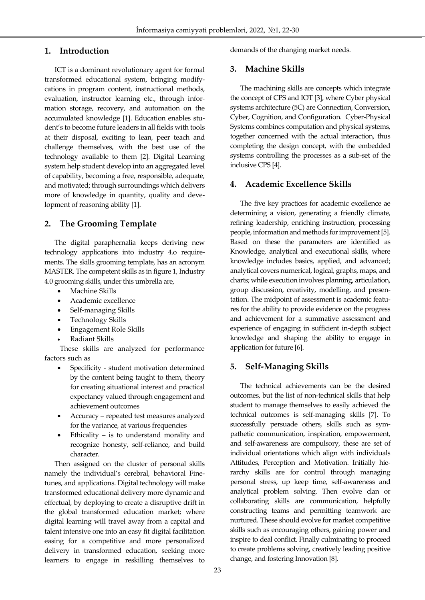# **1. Introduction**

Ī

ICT is a dominant revolutionary agent for formal transformed educational system, bringing modifycations in program content, instructional methods, evaluation, instructor learning etc., through information storage, recovery, and automation on the accumulated knowledge [1]. Education enables student's to become future leaders in all fields with tools at their disposal, exciting to lean, peer teach and challenge themselves, with the best use of the technology available to them [2]. Digital Learning system help student develop into an aggregated level of capability, becoming a free, responsible, adequate, and motivated; through surroundings which delivers more of knowledge in quantity, quality and development of reasoning ability [1].

# **2. The Grooming Template**

The digital paraphernalia keeps deriving new technology applications into industry 4.o requirements. The skills grooming template, has an acronym MASTER. The competent skills as in figure 1, Industry 4.0 grooming skills, under this umbrella are,

- Machine Skills
- Academic excellence
- Self-managing Skills
- Technology Skills
- Engagement Role Skills
- Radiant Skills

These skills are analyzed for performance factors such as

- Specificity student motivation determined by the content being taught to them, theory for creating situational interest and practical expectancy valued through engagement and achievement outcomes
- Accuracy repeated test measures analyzed for the variance, at various frequencies
- Ethicality is to understand morality and recognize honesty, self-reliance, and build character.

Then assigned on the cluster of personal skills namely the individual's cerebral, behavioral Finetunes, and applications. Digital technology will make transformed educational delivery more dynamic and effectual, by deploying to create a disruptive drift in the global transformed education market; where digital learning will travel away from a capital and talent intensive one into an easy fit digital facilitation easing for a competitive and more personalized delivery in transformed education, seeking more learners to engage in reskilling themselves to demands of the changing market needs.

# **3. Machine Skills**

The machining skills are concepts which integrate the concept of CPS and IOT [3], where Cyber physical systems architecture (5C) are Connection, Conversion, Cyber, Cognition, and Configuration. Cyber-Physical Systems combines computation and physical systems, together concerned with the actual interaction, thus completing the design concept, with the embedded systems controlling the processes as a sub-set of the inclusive CPS [4].

# **4. Academic Excellence Skills**

The five key practices for academic excellence ae determining a vision, generating a friendly climate, refining leadership, enriching instruction, processing people, information and methods for improvement [5]. Based on these the parameters are identified as Knowledge, analytical and executional skills, where knowledge includes basics, applied, and advanced; analytical covers numerical, logical, graphs, maps, and charts; while execution involves planning, articulation, group discussion, creativity, modelling, and presentation. The midpoint of assessment is academic features for the ability to provide evidence on the progress and achievement for a summative assessment and experience of engaging in sufficient in-depth subject knowledge and shaping the ability to engage in application for future [6].

# **5. Self-Managing Skills**

The technical achievements can be the desired outcomes, but the list of non-technical skills that help student to manage themselves to easily achieved the technical outcomes is self-managing skills [7]. To successfully persuade others, skills such as sympathetic communication, inspiration, empowerment, and self-awareness are compulsory, these are set of individual orientations which align with individuals Attitudes, Perception and Motivation. Initially hierarchy skills are for control through managing personal stress, up keep time, self-awareness and analytical problem solving. Then evolve clan or collaborating skills are communication, helpfully constructing teams and permitting teamwork are nurtured. These should evolve for market competitive skills such as encouraging others, gaining power and inspire to deal conflict. Finally culminating to proceed to create problems solving, creatively leading positive change, and fostering Innovation [8].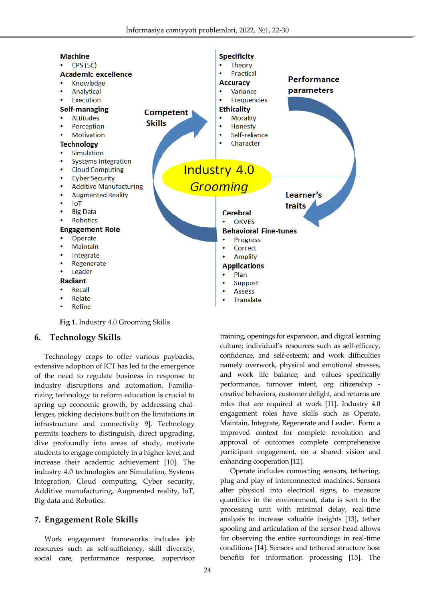

**Fig 1.** Industry 4.0 Grooming Skills

# **6. Technology Skills**

Ī

Technology crops to offer various paybacks, extensive adoption of ICT has led to the emergence of the need to regulate business in response to industry disruptions and automation. Familiarizing technology to reform education is crucial to spring up economic growth, by addressing challenges, picking decisions built on the limitations in infrastructure and connectivity 9]. Technology permits teachers to distinguish, direct upgrading, dive profoundly into areas of study, motivate students to engage completely in a higher level and increase their academic achievement [10]. The industry 4.0 technologies are Simulation, Systems Integration, Cloud computing, Cyber security, Additive manufacturing, Augmented reality, IoT, Big data and Robotics.

# **7. Engagement Role Skills**

Work engagement frameworks includes job resources such as self-sufficiency, skill diversity, social care, performance response, supervisor training, openings for expansion, and digital learning culture; individual's resources such as self-efficacy, confidence, and self-esteem; and work difficulties namely overwork, physical and emotional stresses, and work life balance; and values specifically performance, turnover intent, org citizenship creative behaviors, customer delight, and returns are roles that are required at work [11]. Industry 4.0 engagement roles have skills such as Operate, Maintain, Integrate, Regenerate and Leader. Form a improved context for complete revolution and approval of outcomes complete comprehensive participant engagement, on a shared vision and enhancing cooperation [12].

Operate includes connecting sensors, tethering, plug and play of interconnected machines. Sensors alter physical into electrical signs, to measure quantities in the environment, data is sent to the processing unit with minimal delay, real-time analysis to increase valuable insights [13], tether spooling and articulation of the sensor-head allows for observing the entire surroundings in real-time conditions [14]. Sensors and tethered structure host benefits for information processing [15]. The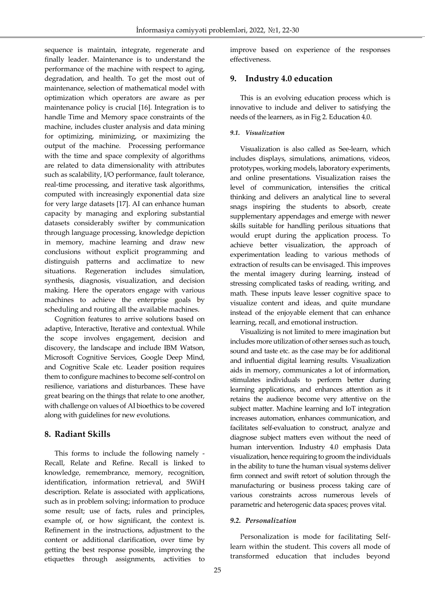sequence is maintain, integrate, regenerate and finally leader. Maintenance is to understand the performance of the machine with respect to aging, degradation, and health. To get the most out of maintenance, selection of mathematical model with optimization which operators are aware as per maintenance policy is crucial [16]. Integration is to handle Time and Memory space constraints of the machine, includes cluster analysis and data mining for optimizing, minimizing, or maximizing the output of the machine. Processing performance with the time and space complexity of algorithms are related to data dimensionality with attributes such as scalability, I/O performance, fault tolerance, real-time processing, and iterative task algorithms, computed with increasingly exponential data size for very large datasets [17]. AI can enhance human capacity by managing and exploring substantial datasets considerably swifter by communication through language processing, knowledge depiction in memory, machine learning and draw new conclusions without explicit programming and distinguish patterns and acclimatize to new situations. Regeneration includes simulation, synthesis, diagnosis, visualization, and decision making. Here the operators engage with various machines to achieve the enterprise goals by scheduling and routing all the available machines.

Ī

Cognition features to arrive solutions based on adaptive, Interactive, Iterative and contextual. While the scope involves engagement, decision and discovery, the landscape and include IBM Watson, Microsoft Cognitive Services, Google Deep Mind, and Cognitive Scale etc. Leader position requires them to configure machines to become self-control on resilience, variations and disturbances. These have great bearing on the things that relate to one another, with challenge on values of AI bioethics to be covered along with guidelines for new evolutions.

# **8. Radiant Skills**

This forms to include the following namely - Recall, Relate and Refine. Recall is linked to knowledge, remembrance, memory, recognition, identification, information retrieval, and 5WiH description. Relate is associated with applications, such as in problem solving; information to produce some result; use of facts, rules and principles, example of, or how significant, the context is. Refinement in the instructions, adjustment to the content or additional clarification, over time by getting the best response possible, improving the etiquettes through assignments, activities to

improve based on experience of the responses effectiveness.

# **9. Industry 4.0 education**

This is an evolving education process which is innovative to include and deliver to satisfying the needs of the learners, as in Fig 2. Education 4.0.

#### *9.1. Visualization*

Visualization is also called as See-learn, which includes displays, simulations, animations, videos, prototypes, working models, laboratory experiments, and online presentations. Visualization raises the level of communication, intensifies the critical thinking and delivers an analytical line to several snags inspiring the students to absorb, create supplementary appendages and emerge with newer skills suitable for handling perilous situations that would erupt during the application process. To achieve better visualization, the approach of experimentation leading to various methods of extraction of results can be envisaged. This improves the mental imagery during learning, instead of stressing complicated tasks of reading, writing, and math. These inputs leave lesser cognitive space to visualize content and ideas, and quite mundane instead of the enjoyable element that can enhance learning, recall, and emotional instruction.

Visualizing is not limited to mere imagination but includes more utilization of other senses such as touch, sound and taste etc. as the case may be for additional and influential digital learning results. Visualization aids in memory, communicates a lot of information, stimulates individuals to perform better during learning applications, and enhances attention as it retains the audience become very attentive on the subject matter. Machine learning and IoT integration increases automation, enhances communication, and facilitates self-evaluation to construct, analyze and diagnose subject matters even without the need of human intervention. Industry 4.0 emphasis Data visualization, hence requiring to groom the individuals in the ability to tune the human visual systems deliver firm connect and swift retort of solution through the manufacturing or business process taking care of various constraints across numerous levels of parametric and heterogenic data spaces; proves vital.

#### *9.2. Personalization*

Personalization is mode for facilitating Selflearn within the student. This covers all mode of transformed education that includes beyond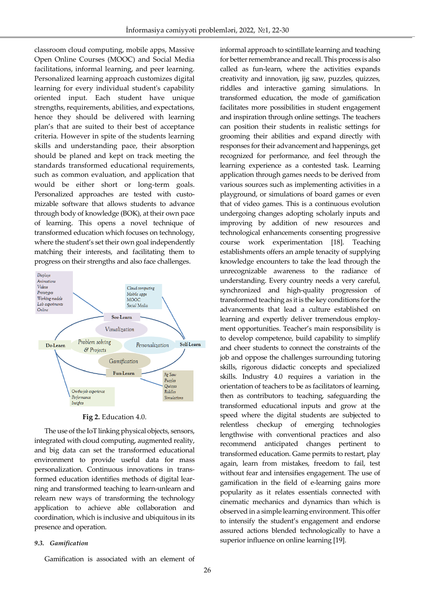classroom cloud computing, mobile apps, Massive Open Online Courses (MOOC) and Social Media facilitations, informal learning, and peer learning. Personalized learning approach customizes digital learning for every individual student's capability oriented input. Each student have unique strengths, requirements, abilities, and expectations, hence they should be delivered with learning plan's that are suited to their best of acceptance criteria. However in spite of the students learning skills and understanding pace, their absorption should be planed and kept on track meeting the standards transformed educational requirements, such as common evaluation, and application that would be either short or long-term goals. Personalized approaches are tested with customizable software that allows students to advance through body of knowledge (BOK), at their own pace of learning. This opens a novel technique of transformed education which focuses on technology, where the student's set their own goal independently matching their interests, and facilitating them to progress on their strengths and also face challenges.

Ī



**Fig 2.** Education 4.0.

The use of the IoT linking physical objects, sensors, integrated with cloud computing, augmented reality, and big data can set the transformed educational environment to provide useful data for mass personalization. Continuous innovations in transformed education identifies methods of digital learning and transformed teaching to learn-unlearn and relearn new ways of transforming the technology application to achieve able collaboration and coordination, which is inclusive and ubiquitous in its presence and operation.

#### *9.3. Gamification*

Gamification is associated with an element of

for better remembrance and recall. This process is also called as fun-learn, where the activities expands creativity and innovation, jig saw, puzzles, quizzes, riddles and interactive gaming simulations. In transformed education, the mode of gamification facilitates more possibilities in student engagement and inspiration through online settings. The teachers can position their students in realistic settings for grooming their abilities and expand directly with responses for their advancement and happenings, get recognized for performance, and feel through the learning experience as a contested task. Learning application through games needs to be derived from various sources such as implementing activities in a playground, or simulations of board games or even that of video games. This is a continuous evolution undergoing changes adopting scholarly inputs and improving by addition of new resources and technological enhancements consenting progressive course work experimentation [18]. Teaching establishments offers an ample tenacity of supplying knowledge encounters to take the lead through the unrecognizable awareness to the radiance of understanding. Every country needs a very careful, synchronized and high-quality progression of transformed teaching as it is the key conditions for the advancements that lead a culture established on learning and expertly deliver tremendous employment opportunities. Teacher's main responsibility is to develop competence, build capability to simplify and cheer students to connect the constraints of the job and oppose the challenges surrounding tutoring skills, rigorous didactic concepts and specialized skills. Industry 4.0 requires a variation in the orientation of teachers to be as facilitators of learning, then as contributors to teaching, safeguarding the transformed educational inputs and grow at the speed where the digital students are subjected to relentless checkup of emerging technologies lengthwise with conventional practices and also recommend anticipated changes pertinent to transformed education. Game permits to restart, play again, learn from mistakes, freedom to fail, test without fear and intensifies engagement. The use of gamification in the field of e-learning gains more popularity as it relates essentials connected with cinematic mechanics and dynamics than which is observed in a simple learning environment. This offer to intensify the student's engagement and endorse assured actions blended technologically to have a superior influence on online learning [19].

informal approach to scintillate learning and teaching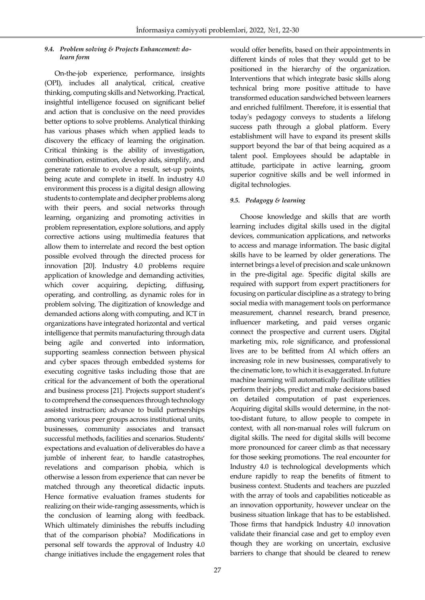#### *9.4. Problem solving & Projects Enhancement: dolearn form*

Ī

On-the-job experience, performance, insights (OPI), includes all analytical, critical, creative thinking, computing skills and Networking. Practical, insightful intelligence focused on significant belief and action that is conclusive on the need provides better options to solve problems. Analytical thinking has various phases which when applied leads to discovery the efficacy of learning the origination. Critical thinking is the ability of investigation, combination, estimation, develop aids, simplify, and generate rationale to evolve a result, set-up points, being acute and complete in itself. In industry 4.0 environment this process is a digital design allowing students to contemplate and decipher problems along with their peers, and social networks through learning, organizing and promoting activities in problem representation, explore solutions, and apply corrective actions using multimedia features that allow them to interrelate and record the best option possible evolved through the directed process for innovation [20]. Industry 4.0 problems require application of knowledge and demanding activities, which cover acquiring, depicting, diffusing, operating, and controlling, as dynamic roles for in problem solving. The digitization of knowledge and demanded actions along with computing, and ICT in organizations have integrated horizontal and vertical intelligence that permits manufacturing through data being agile and converted into information, supporting seamless connection between physical and cyber spaces through embedded systems for executing cognitive tasks including those that are critical for the advancement of both the operational and business process [21]. Projects support student's to comprehend the consequences through technology assisted instruction; advance to build partnerships among various peer groups across institutional units, businesses, community associates and transact successful methods, facilities and scenarios. Students' expectations and evaluation of deliverables do have a jumble of inherent fear, to handle catastrophes, revelations and comparison phobia, which is otherwise a lesson from experience that can never be matched through any theoretical didactic inputs. Hence formative evaluation frames students for realizing on their wide-ranging assessments, which is the conclusion of learning along with feedback. Which ultimately diminishes the rebuffs including that of the comparison phobia? Modifications in personal self towards the approval of Industry 4.0 change initiatives include the engagement roles that

would offer benefits, based on their appointments in different kinds of roles that they would get to be positioned in the hierarchy of the organization. Interventions that which integrate basic skills along technical bring more positive attitude to have transformed education sandwiched between learners and enriched fulfilment. Therefore, it is essential that today's pedagogy conveys to students a lifelong success path through a global platform. Every establishment will have to expand its present skills support beyond the bar of that being acquired as a talent pool. Employees should be adaptable in attitude, participate in active learning, groom superior cognitive skills and be well informed in digital technologies.

#### *9.5. Pedagogy & learning*

Choose knowledge and skills that are worth learning includes digital skills used in the digital devices, communication applications, and networks to access and manage information. The basic digital skills have to be learned by older generations. The internet brings a level of precision and scale unknown in the pre-digital age. Specific digital skills are required with support from expert practitioners for focusing on particular discipline as a strategy to bring social media with management tools on performance measurement, channel research, brand presence, influencer marketing, and paid verses organic connect the prospective and current users. Digital marketing mix, role significance, and professional lives are to be befitted from AI which offers an increasing role in new businesses, comparatively to the cinematic lore, to which it is exaggerated. In future machine learning will automatically facilitate utilities perform their jobs, predict and make decisions based on detailed computation of past experiences. Acquiring digital skills would determine, in the nottoo-distant future, to allow people to compete in context, with all non-manual roles will fulcrum on digital skills. The need for digital skills will become more pronounced for career climb as that necessary for those seeking promotions. The real encounter for Industry 4.0 is technological developments which endure rapidly to reap the benefits of fitment to business context. Students and teachers are puzzled with the array of tools and capabilities noticeable as an innovation opportunity, however unclear on the business situation linkage that has to be established. Those firms that handpick Industry 4.0 innovation validate their financial case and get to employ even though they are working on uncertain, exclusive barriers to change that should be cleared to renew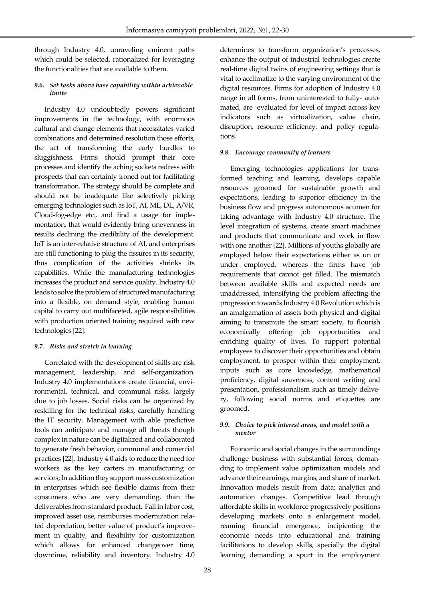through Industry 4.0, unraveling eminent paths which could be selected, rationalized for leveraging the functionalities that are available to them.

Ī

#### *9.6. Set tasks above base capability within achievable limits*

Industry 4.0 undoubtedly powers significant improvements in the technology, with enormous cultural and change elements that necessitates varied combinations and determined resolution those efforts, the act of transforming the early hurdles to sluggishness. Firms should prompt their core processes and identify the aching sockets redress with prospects that can certainly ironed out for facilitating transformation. The strategy should be complete and should not be inadequate like selectively picking emerging technologies such as IoT, AI, ML, DL, A/VR, Cloud-fog-edge etc., and find a usage for implementation, that would evidently bring unevenness in results declining the credibility of the development. IoT is an inter-relative structure of AI, and enterprises are still functioning to plug the fissures in its security, thus complication of the activities shrinks its capabilities. While the manufacturing technologies increases the product and service quality. Industry 4.0 leads to solve the problem of structured manufacturing into a flexible, on demand style, enabling human capital to carry out multifaceted, agile responsibilities with production oriented training required with new technologies [22].

#### *9.7. Risks and stretch in learning*

Correlated with the development of skills are risk management, leadership, and self-organization. Industry 4.0 implementations create financial, environmental, technical, and communal risks, largely due to job losses. Social risks can be organized by reskilling for the technical risks, carefully handling the IT security. Management with able predictive tools can anticipate and manage all threats though complex in nature can be digitalized and collaborated to generate fresh behavior, communal and comercial practices [22]. Industry 4.0 aids to reduce the need for workers as the key carters in manufacturing or services; In addition they support mass customization in enterprises which see flexible claims from their consumers who are very demanding, than the deliverables from standard product. Fall in labor cost, improved asset use, reimburses modernization related depreciation, better value of product's improvement in quality, and flexibility for customization which allows for enhanced changeover time, downtime, reliability and inventory. Industry 4.0

determines to transform organization's processes, enhance the output of industrial technologies create real-time digital twins of engineering settings that is vital to acclimatize to the varying environment of the digital resources. Firms for adoption of Industry 4.0 range in all forms, from uninterested to fully- automated, are evaluated for level of impact across key indicators such as virtualization, value chain, disruption, resource efficiency, and policy regulations.

### *9.8. Encourage community of learners*

Emerging technologies applications for transformed teaching and learning, develops capable resources groomed for sustainable growth and expectations, leading to superior efficiency in the business flow and progress autonomous acumen for taking advantage with Industry 4.0 structure. The level integration of systems, create smart machines and products that communicate and work in flow with one another [22]. Millions of youths globally are employed below their expectations either as un or under employed, whereas the firms have job requirements that cannot get filled. The mismatch between available skills and expected needs are unaddressed, intensifying the problem affecting the progression towards Industry 4.0 Revolution which is an amalgamation of assets both physical and digital aiming to transmute the smart society, to flourish economically offering job opportunities and enriching quality of lives. To support potential employees to discover their opportunities and obtain employment, to prosper within their employment, inputs such as core knowledge, mathematical proficiency, digital suaveness, content writing and presentation, professionalism such as timely delivery, following social norms and etiquettes are groomed.

#### *9.9. Choice to pick interest areas, and model with a mentor*

Economic and social changes in the surroundings challenge business with substantial forces, demanding to implement value optimization models and advance their earnings, margins, and share of market. Innovation models result from data; analytics and automation changes. Competitive lead through affordable skills in workforce progressively positions developing markets onto a enlargement model, reaming financial emergence, incipienting the economic needs into educational and training facilitations to develop skills, specially the digital learning demanding a spurt in the employment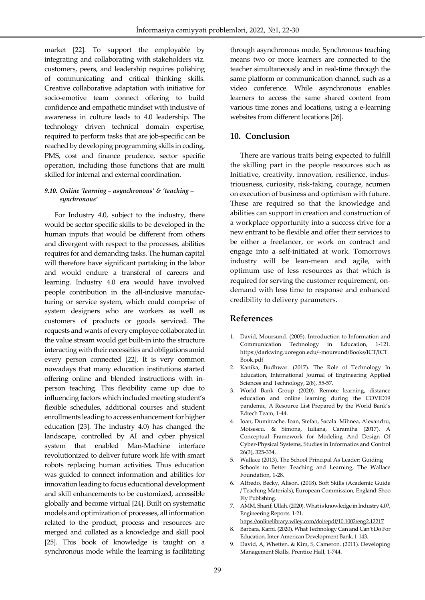market [22]. To support the employable by integrating and collaborating with stakeholders viz. customers, peers, and leadership requires polishing of communicating and critical thinking skills. Creative collaborative adaptation with initiative for socio-emotive team connect offering to build confidence and empathetic mindset with inclusive of awareness in culture leads to 4.0 leadership. The technology driven technical domain expertise, required to perform tasks that are job-specific can be reached by developing programming skills in coding, PMS, cost and finance prudence, sector specific operation, including those functions that are multi skilled for internal and external coordination.

Ī

#### *9.10. Online 'learning – asynchronous' & 'teaching – synchronous'*

For Industry 4.0, subject to the industry, there would be sector specific skills to be developed in the human inputs that would be different from others and divergent with respect to the processes, abilities requires for and demanding tasks. The human capital will therefore have significant partaking in the labor and would endure a transferal of careers and learning. Industry 4.0 era would have involved people contribution in the all-inclusive manufacturing or service system, which could comprise of system designers who are workers as well as customers of products or goods serviced. The requests and wants of every employee collaborated in the value stream would get built-in into the structure interacting with their necessities and obligations amid every person connected [22]. It is very common nowadays that many education institutions started offering online and blended instructions with inperson teaching. This flexibility came up due to influencing factors which included meeting student's flexible schedules, additional courses and student enrollments leading to access enhancement for higher education [23]. The industry 4.0) has changed the landscape, controlled by AI and cyber physical system that enabled Man-Machine interface revolutionized to deliver future work life with smart robots replacing human activities. Thus education was guided to connect information and abilities for innovation leading to focus educational development and skill enhancements to be customized, accessible globally and become virtual [24]. Built on systematic models and optimization of processes, all information related to the product, process and resources are merged and collated as a knowledge and skill pool [25]. This book of knowledge is taught on a synchronous mode while the learning is facilitating

through asynchronous mode. Synchronous teaching means two or more learners are connected to the teacher simultaneously and in real-time through the same platform or communication channel, such as a video conference. While asynchronous enables learners to access the same shared content from various time zones and locations, using a e-learning websites from different locations [26].

# **10. Conclusion**

There are various traits being expected to fulfill the skilling part in the people resources such as Initiative, creativity, innovation, resilience, industriousness, curiosity, risk-taking, courage, acumen on execution of business and optimism with future. These are required so that the knowledge and abilities can support in creation and construction of a workplace opportunity into a success drive for a new entrant to be flexible and offer their services to be either a freelancer, or work on contract and engage into a self-initiated at work. Tomorrows industry will be lean-mean and agile, with optimum use of less resources as that which is required for serving the customer requirement, ondemand with less time to response and enhanced credibility to delivery parameters.

# **References**

- 1. David, Moursund. (2005). Introduction to Information and Communication Technology in Education, 1-121. https://darkwing.uoregon.edu/~moursund/Books/ICT/ICT Book.pdf
- 2. Kanika, Budhwar. (2017). The Role of Technology In Education, International Journal of Engineering Applied Sciences and Technology, 2(8), 55-57.
- 3. World Bank Group (2020). Remote learning, distance education and online learning during the COVID19 pandemic, A Resource List Prepared by the World Bank's Edtech Team, 1-44.
- 4. Ioan, Dumitrache. Ioan, Stefan, Sacala. Mihnea, Alexandru, Moisescu. & Simona, Iuliana, Caramiha (2017). A Conceptual Framework for Modeling And Design Of Cyber-Physical Systems, Studies in Informatics and Control 26(3), 325-334.
- 5. Wallace (2013). The School Principal As Leader: Guiding Schools to Better Teaching and Learning, The Wallace Foundation, 1-28.
- 6. Alfredo, Becky, Alison. (2018). Soft Skills (Academic Guide / Teaching Materials), European Commission, England: Shoo Fly Publishing.
- 7. AMM, Sharif, Ullah. (2020). What is knowledge in Industry 4.0?, Engineering Reports. 1-21.
- <https://onlinelibrary.wiley.com/doi/epdf/10.1002/eng2.12217> 8. Barbara, Karni. (2020). What Technology Can and Can't Do For Education, Inter-American Development Bank, 1-143.
- 9. David, A, Whetten. & Kim, S, Cameron. (2011). Developing Management Skills, Prentice Hall, 1-744.